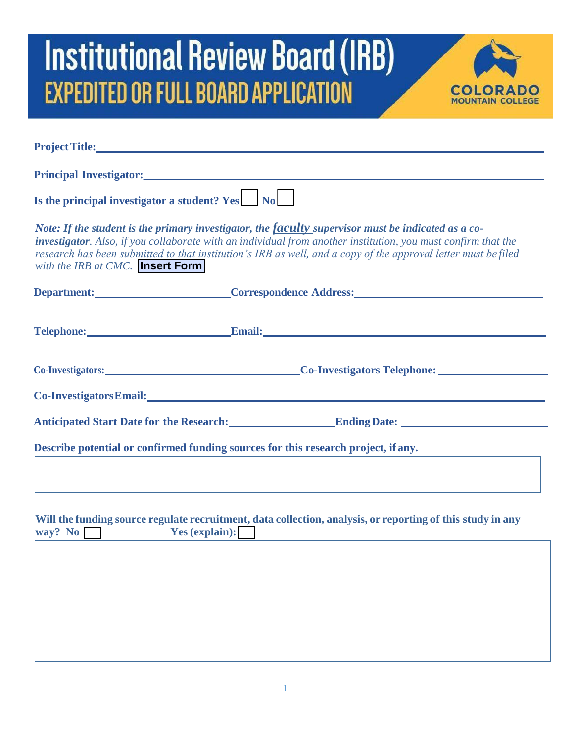

|                                                 | Project Title: New York Department of the Contract of the Contract of the Contract of the Contract of the Contract of the Contract of the Contract of the Contract of the Contract of the Contract of the Contract of the Cont                                                                                                         |
|-------------------------------------------------|----------------------------------------------------------------------------------------------------------------------------------------------------------------------------------------------------------------------------------------------------------------------------------------------------------------------------------------|
|                                                 |                                                                                                                                                                                                                                                                                                                                        |
| Is the principal investigator a student? Yes No |                                                                                                                                                                                                                                                                                                                                        |
| with the IRB at CMC. <b>Insert Form</b>         | Note: If the student is the primary investigator, the faculty supervisor must be indicated as a co-<br>investigator. Also, if you collaborate with an individual from another institution, you must confirm that the<br>research has been submitted to that institution's IRB as well, and a copy of the approval letter must be filed |
|                                                 | Department: Correspondence Address: Correspondence Address:                                                                                                                                                                                                                                                                            |
|                                                 | Telephone: Email: Email: Email: Email: Email: Email: Email: Email: Email: Email: Email: Email: Email: Email: Email: Email: Email: Email: Email: Email: Email: Email: Email: Email: Email: Email: Email: Email: Email: Email: E                                                                                                         |
|                                                 | Co-Investigators: Co-Investigators Telephone: Co-Investigators Telephone:                                                                                                                                                                                                                                                              |
|                                                 | Co-InvestigatorsEmail:<br><u>Co-InvestigatorsEmail:</u>                                                                                                                                                                                                                                                                                |
|                                                 | Anticipated Start Date for the Research: Ending Date: Cambridge Start Date for the Research:                                                                                                                                                                                                                                           |
|                                                 | Describe potential or confirmed funding sources for this research project, if any.                                                                                                                                                                                                                                                     |
| way? No Yes (explain):                          | Will the funding source regulate recruitment, data collection, analysis, or reporting of this study in any                                                                                                                                                                                                                             |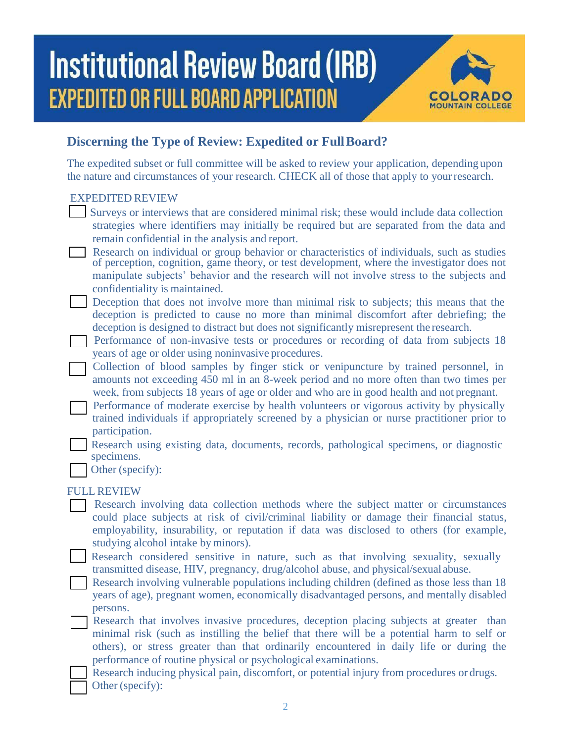

### **Discerning the Type of Review: Expedited or Full Board?**

The expedited subset or full committee will be asked to review your application, depending upon the nature and circumstances of your research. CHECK all of those that apply to your research.

#### EXPEDITED REVIEW

- Surveys or interviews that are considered minimal risk; these would include data collection strategies where identifiers may initially be required but are separated from the data and remain confidential in the analysis and report.
- Research on individual or group behavior or characteristics of individuals, such as studies of perception, cognition, game theory, or test development, where the investigator does not manipulate subjects' behavior and the research will not involve stress to the subjects and confidentiality is maintained.
- Deception that does not involve more than minimal risk to subjects; this means that the deception is predicted to cause no more than minimal discomfort after debriefing; the deception is designed to distract but does not significantly misrepresent the research.
- $\overline{\phantom{a}}$ Performance of non-invasive tests or procedures or recording of data from subjects 18 years of age or older using noninvasive procedures.
- $\overline{\phantom{a}}$ Collection of blood samples by finger stick or venipuncture by trained personnel, in amounts not exceeding 450 ml in an 8-week period and no more often than two times per week, from subjects 18 years of age or older and who are in good health and not pregnant.
- $\Box$ Performance of moderate exercise by health volunteers or vigorous activity by physically trained individuals if appropriately screened by a physician or nurse practitioner prior to participation.
- $\mathbb{R}^2$ Research using existing data, documents, records, pathological specimens, or diagnostic specimens.
	- Other (specify):

#### FULL REVIEW

- Research involving data collection methods where the subject matter or circumstances could place subjects at risk of civil/criminal liability or damage their financial status, employability, insurability, or reputation if data was disclosed to others (for example, studying alcohol intake by minors).
- Research considered sensitive in nature, such as that involving sexuality, sexually transmitted disease, HIV, pregnancy, drug/alcohol abuse, and physical/sexual abuse.

Research involving vulnerable populations including children (defined as those less than 18 years of age), pregnant women, economically disadvantaged persons, and mentally disabled persons.

- Research that involves invasive procedures, deception placing subjects at greater than minimal risk (such as instilling the belief that there will be a potential harm to self or others), or stress greater than that ordinarily encountered in daily life or during the performance of routine physical or psychological examinations.
- Research inducing physical pain, discomfort, or potential injury from procedures or drugs. Other (specify):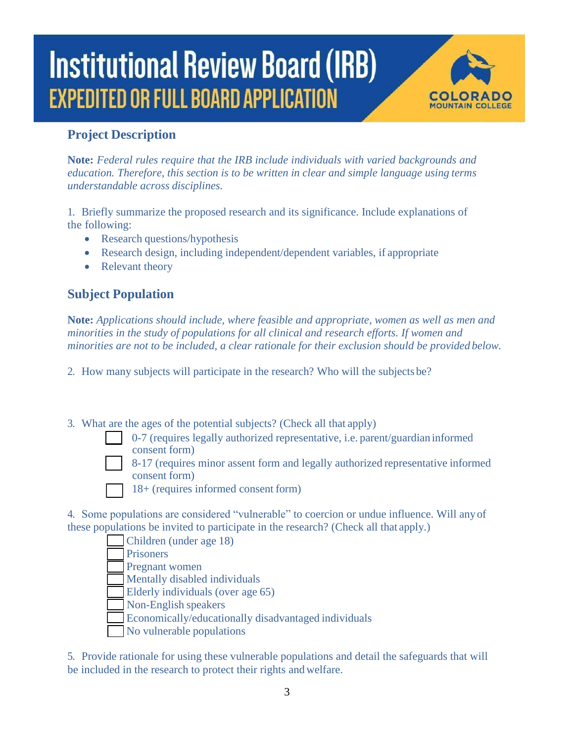

#### **Project Description**

**Note:** *Federal rules require that the IRB include individuals with varied backgrounds and education. Therefore, this section is to be written in clear and simple language using terms understandable across disciplines.*

1. Briefly summarize the proposed research and its significance. Include explanations of the following:

- Research questions/hypothesis
- Research design, including independent/dependent variables, if appropriate
- Relevant theory

### **Subject Population**

**Note:** *Applications should include, where feasible and appropriate, women as well as men and minorities in the study of populations for all clinical and research efforts. If women and minorities are not to be included, a clear rationale for their exclusion should be provided below.*

2. How many subjects will participate in the research? Who will the subjects be?

- 3. What are the ages of the potential subjects? (Check all that apply)
	- 0-7 (requires legally authorized representative, i.e. parent/guardian informed consent form)
	- 8-17 (requires minor assent form and legally authorized representative informed consent form)
	- 18+ (requires informed consent form)
- 4. Some populations are considered "vulnerable" to coercion or undue influence. Will any of these populations be invited to participate in the research? (Check all that apply.)

| Children (under age 18)                              |
|------------------------------------------------------|
| Prisoners                                            |
| Pregnant women                                       |
| Mentally disabled individuals                        |
| Elderly individuals (over age 65)                    |
| Non-English speakers                                 |
| Economically/educationally disadvantaged individuals |
| No vulnerable populations                            |

5. Provide rationale for using these vulnerable populations and detail the safeguards that will be included in the research to protect their rights and welfare.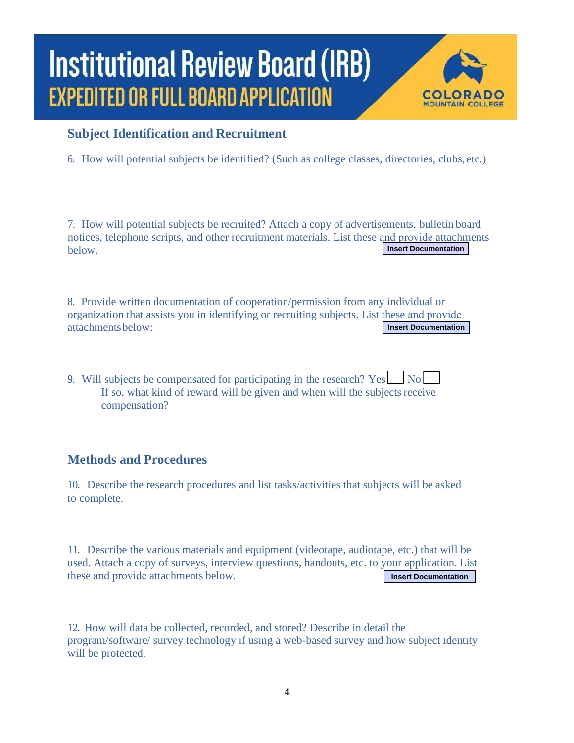

#### **Subject Identification and Recruitment**

6. How will potential subjects be identified? (Such as college classes, directories, clubs, etc.)

7. How will potential subjects be recruited? Attach a copy of advertisements, bulletin board notices, telephone scripts, and other recruitment materials. List these and provide attachments below. **Insert Documentation**

8. Provide written documentation of cooperation/permission from any individual or organization that assists you in identifying or recruiting subjects. List these and provide attachments below: **Insert Documentation**

9. Will subjects be compensated for participating in the research?  $Yes \Box No \Box$ If so, what kind of reward will be given and when will the subjects receive compensation?

#### **Methods and Procedures**

10. Describe the research procedures and list tasks/activities that subjects will be asked to complete.

11. Describe the various materials and equipment (videotape, audiotape, etc.) that will be used. Attach a copy of surveys, interview questions, handouts, etc. to your application. List these and provide attachments below. **Insert Documentation**

12. How will data be collected, recorded, and stored? Describe in detail the program/software/ survey technology if using a web-based survey and how subject identity will be protected.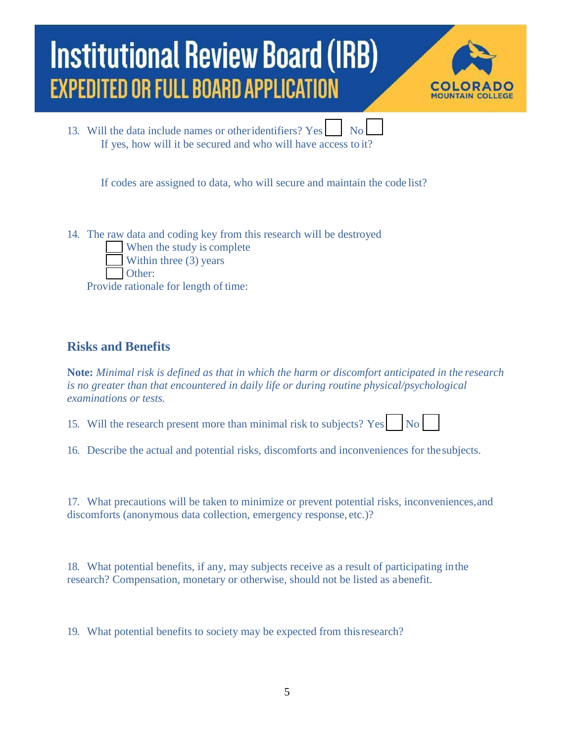

13. Will the data include names or other identifiers? Yes No If yes, how will it be secured and who will have access to it?

If codes are assigned to data, who will secure and maintain the code list?

14. The raw data and coding key from this research will be destroyed When the study is complete Within three (3) years Other:

Provide rationale for length of time:

#### **Risks and Benefits**

**Note:** *Minimal risk is defined as that in which the harm or discomfort anticipated in the research is no greater than that encountered in daily life or during routine physical/psychological examinations or tests.*

15. Will the research present more than minimal risk to subjects? Yes  $\vert$  No

16. Describe the actual and potential risks, discomforts and inconveniences for the subjects.

17. What precautions will be taken to minimize or prevent potential risks, inconveniences, and discomforts (anonymous data collection, emergency response, etc.)?

18. What potential benefits, if any, may subjects receive as a result of participating in the research? Compensation, monetary or otherwise, should not be listed as a benefit.

19. What potential benefits to society may be expected from this research?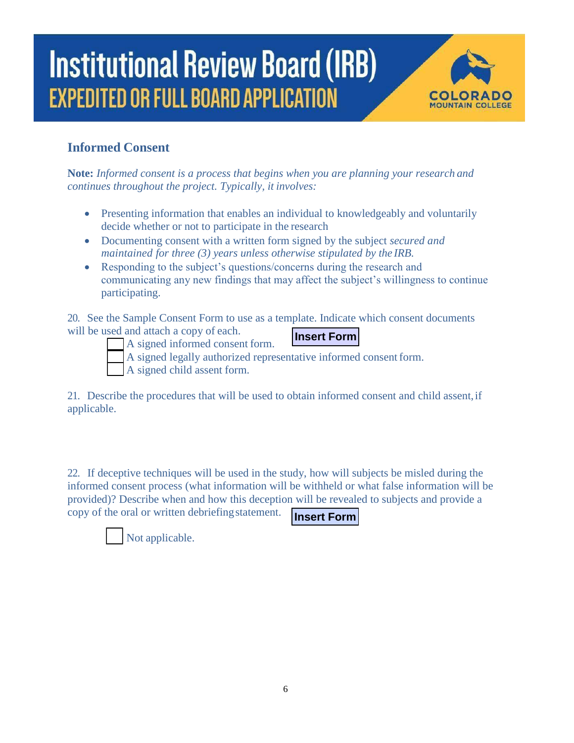

### **Informed Consent**

**Note:** *Informed consent is a process that begins when you are planning your research and continues throughout the project. Typically, it involves:*

- Presenting information that enables an individual to knowledgeably and voluntarily decide whether or not to participate in the research
- Documenting consent with a written form signed by the subject *secured and maintained for three (3) years unless otherwise stipulated by the IRB.*
- Responding to the subject's questions/concerns during the research and communicating any new findings that may affect the subject's willingness to continue participating.

**Insert Form** 20. See the Sample Consent Form to use as a template. Indicate which consent documents will be used and attach a copy of each.

A signed informed consent form.

\_ A signed legally authorized representative informed consent form.

\_ A signed child assent form.

21. Describe the procedures that will be used to obtain informed consent and child assent, if applicable.

22. If deceptive techniques will be used in the study, how will subjects be misled during the informed consent process (what information will be withheld or what false information will be provided)? Describe when and how this deception will be revealed to subjects and provide a copy of the oral or written debriefing statement.

**Insert Form**

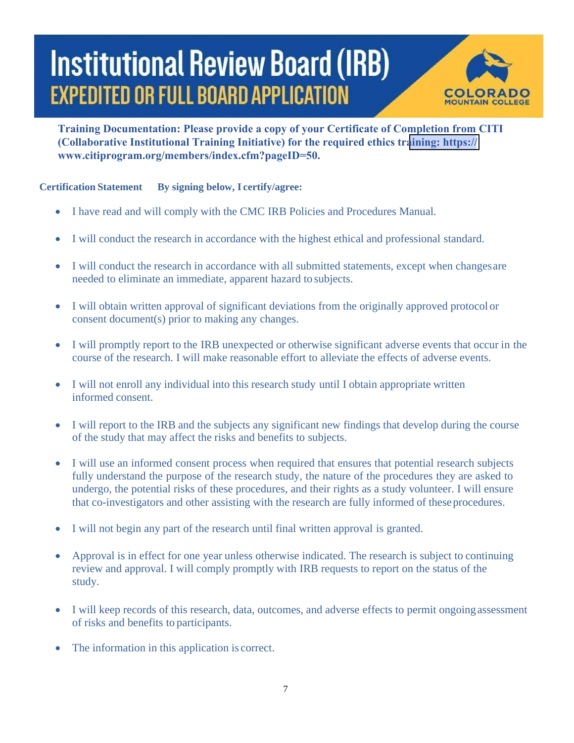

**Training Documentation: Please provide a copy of your Certificate of Completion from CITI (Collaborative Institutional Training Initiative) for the required ethics training: https:// www.citiprogram.org/members/index.cfm?pageID=50.**

#### **Certification Statement By signing below, I certify/agree:**

- I have read and will comply with the CMC IRB Policies and Procedures Manual.
- I will conduct the research in accordance with the highest ethical and professional standard.
- I will conduct the research in accordance with all submitted statements, except when changes are needed to eliminate an immediate, apparent hazard to subjects.
- I will obtain written approval of significant deviations from the originally approved protocol or consent document(s) prior to making any changes.
- I will promptly report to the IRB unexpected or otherwise significant adverse events that occur in the course of the research. I will make reasonable effort to alleviate the effects of adverse events.
- I will not enroll any individual into this research study until I obtain appropriate written informed consent.
- I will report to the IRB and the subjects any significant new findings that develop during the course of the study that may affect the risks and benefits to subjects.
- I will use an informed consent process when required that ensures that potential research subjects fully understand the purpose of the research study, the nature of the procedures they are asked to undergo, the potential risks of these procedures, and their rights as a study volunteer. I will ensure that co-investigators and other assisting with the research are fully informed of theseprocedures.
- I will not begin any part of the research until final written approval is granted.
- Approval is in effect for one year unless otherwise indicated. The research is subject to continuing review and approval. I will comply promptly with IRB requests to report on the status of the study.
- I will keep records of this research, data, outcomes, and adverse effects to permit ongoing assessment of risks and benefits to participants.
- The information in this application is correct.